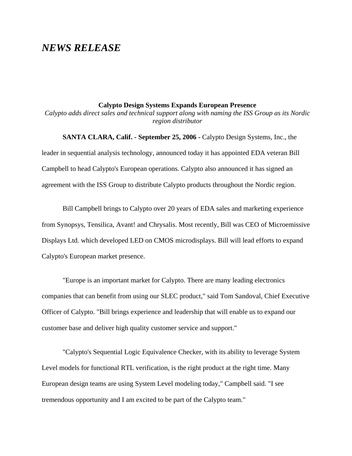## *NEWS RELEASE*

## **Calypto Design Systems Expands European Presence**

*Calypto adds direct sales and technical support along with naming the ISS Group as its Nordic region distributor*

**SANTA CLARA, Calif. - September 25, 2006 -** Calypto Design Systems, Inc., the leader in sequential analysis technology, announced today it has appointed EDA veteran Bill Campbell to head Calypto's European operations. Calypto also announced it has signed an agreement with the ISS Group to distribute Calypto products throughout the Nordic region.

Bill Campbell brings to Calypto over 20 years of EDA sales and marketing experience from Synopsys, Tensilica, Avant! and Chrysalis. Most recently, Bill was CEO of Microemissive Displays Ltd. which developed LED on CMOS microdisplays. Bill will lead efforts to expand Calypto's European market presence.

"Europe is an important market for Calypto. There are many leading electronics companies that can benefit from using our SLEC product," said Tom Sandoval, Chief Executive Officer of Calypto. "Bill brings experience and leadership that will enable us to expand our customer base and deliver high quality customer service and support."

"Calypto's Sequential Logic Equivalence Checker, with its ability to leverage System Level models for functional RTL verification, is the right product at the right time. Many European design teams are using System Level modeling today," Campbell said. "I see tremendous opportunity and I am excited to be part of the Calypto team."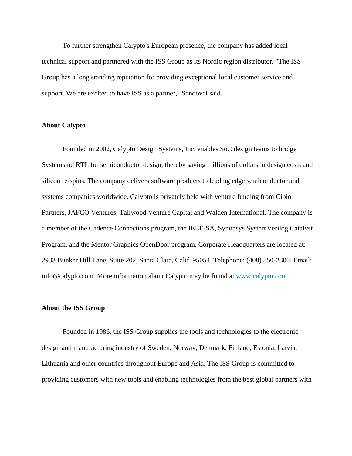To further strengthen Calypto's European presence, the company has added local technical support and partnered with the ISS Group as its Nordic region distributor. "The ISS Group has a long standing reputation for providing exceptional local customer service and support. We are excited to have ISS as a partner," Sandoval said.

## **About Calypto**

Founded in 2002, Calypto Design Systems, Inc. enables SoC design teams to bridge System and RTL for semiconductor design, thereby saving millions of dollars in design costs and silicon re-spins. The company delivers software products to leading edge semiconductor and systems companies worldwide. Calypto is privately held with venture funding from Cipio Partners, JAFCO Ventures, Tallwood Venture Capital and Walden International. The company is a member of the Cadence Connections program, the IEEE-SA, Synopsys SystemVerilog Catalyst Program, and the Mentor Graphics OpenDoor program. Corporate Headquarters are located at: 2933 Bunker Hill Lane, Suite 202, Santa Clara, Calif. 95054. Telephone: (408) 850-2300. Email: info@calypto.com. More information about Calypto may be found a[t www.calypto.com](http://www.calypto.com/news/www.calypto.com)

## **About the ISS Group**

Founded in 1986, the ISS Group supplies the tools and technologies to the electronic design and manufacturing industry of Sweden, Norway, Denmark, Finland, Estonia, Latvia, Lithuania and other countries throughout Europe and Asia. The ISS Group is committed to providing customers with new tools and enabling technologies from the best global partners with